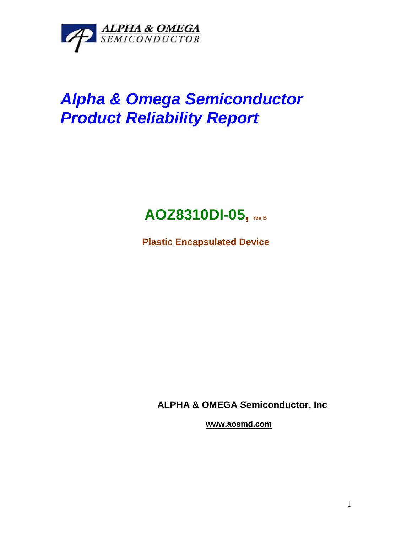

## *Alpha & Omega Semiconductor Product Reliability Report*



**Plastic Encapsulated Device**

**ALPHA & OMEGA Semiconductor, Inc**

**www.aosmd.com**